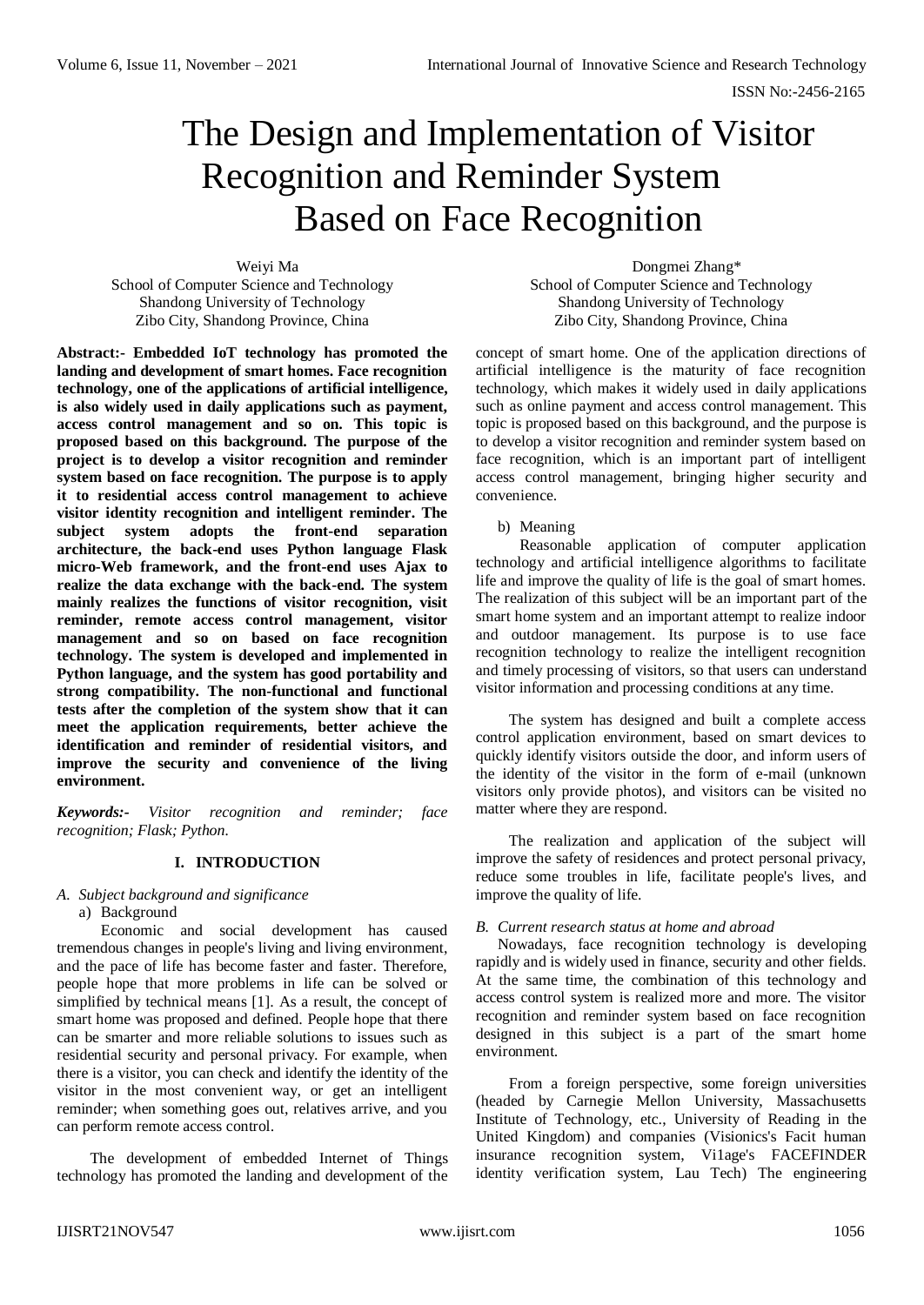# The Design and Implementation of Visitor Recognition and Reminder System Based on Face Recognition

Weiyi Ma School of Computer Science and Technology Shandong University of Technology Zibo City, Shandong Province, China

**Abstract:- Embedded IoT technology has promoted the landing and development of smart homes. Face recognition technology, one of the applications of artificial intelligence, is also widely used in daily applications such as payment, access control management and so on. This topic is proposed based on this background. The purpose of the project is to develop a visitor recognition and reminder system based on face recognition. The purpose is to apply it to residential access control management to achieve visitor identity recognition and intelligent reminder. The subject system adopts the front-end separation architecture, the back-end uses Python language Flask micro-Web framework, and the front-end uses Ajax to realize the data exchange with the back-end. The system mainly realizes the functions of visitor recognition, visit reminder, remote access control management, visitor management and so on based on face recognition technology. The system is developed and implemented in Python language, and the system has good portability and strong compatibility. The non-functional and functional tests after the completion of the system show that it can meet the application requirements, better achieve the identification and reminder of residential visitors, and improve the security and convenience of the living environment.**

*Keywords:- Visitor recognition and reminder; face recognition; Flask; Python.*

# **I. INTRODUCTION**

# *A. Subject background and significance*

a) Background

Economic and social development has caused tremendous changes in people's living and living environment, and the pace of life has become faster and faster. Therefore, people hope that more problems in life can be solved or simplified by technical means [1]. As a result, the concept of smart home was proposed and defined. People hope that there can be smarter and more reliable solutions to issues such as residential security and personal privacy. For example, when there is a visitor, you can check and identify the identity of the visitor in the most convenient way, or get an intelligent reminder; when something goes out, relatives arrive, and you can perform remote access control.

The development of embedded Internet of Things technology has promoted the landing and development of the

Dongmei Zhang\* School of Computer Science and Technology Shandong University of Technology Zibo City, Shandong Province, China

concept of smart home. One of the application directions of artificial intelligence is the maturity of face recognition technology, which makes it widely used in daily applications such as online payment and access control management. This topic is proposed based on this background, and the purpose is to develop a visitor recognition and reminder system based on face recognition, which is an important part of intelligent access control management, bringing higher security and convenience.

# b) Meaning

Reasonable application of computer application technology and artificial intelligence algorithms to facilitate life and improve the quality of life is the goal of smart homes. The realization of this subject will be an important part of the smart home system and an important attempt to realize indoor and outdoor management. Its purpose is to use face recognition technology to realize the intelligent recognition and timely processing of visitors, so that users can understand visitor information and processing conditions at any time.

The system has designed and built a complete access control application environment, based on smart devices to quickly identify visitors outside the door, and inform users of the identity of the visitor in the form of e-mail (unknown visitors only provide photos), and visitors can be visited no matter where they are respond.

The realization and application of the subject will improve the safety of residences and protect personal privacy, reduce some troubles in life, facilitate people's lives, and improve the quality of life.

# *B. Current research status at home and abroad*

Nowadays, face recognition technology is developing rapidly and is widely used in finance, security and other fields. At the same time, the combination of this technology and access control system is realized more and more. The visitor recognition and reminder system based on face recognition designed in this subject is a part of the smart home environment.

From a foreign perspective, some foreign universities (headed by Carnegie Mellon University, Massachusetts Institute of Technology, etc., University of Reading in the United Kingdom) and companies (Visionics's Facit human insurance recognition system, Vi1age's FACEFINDER identity verification system, Lau Tech) The engineering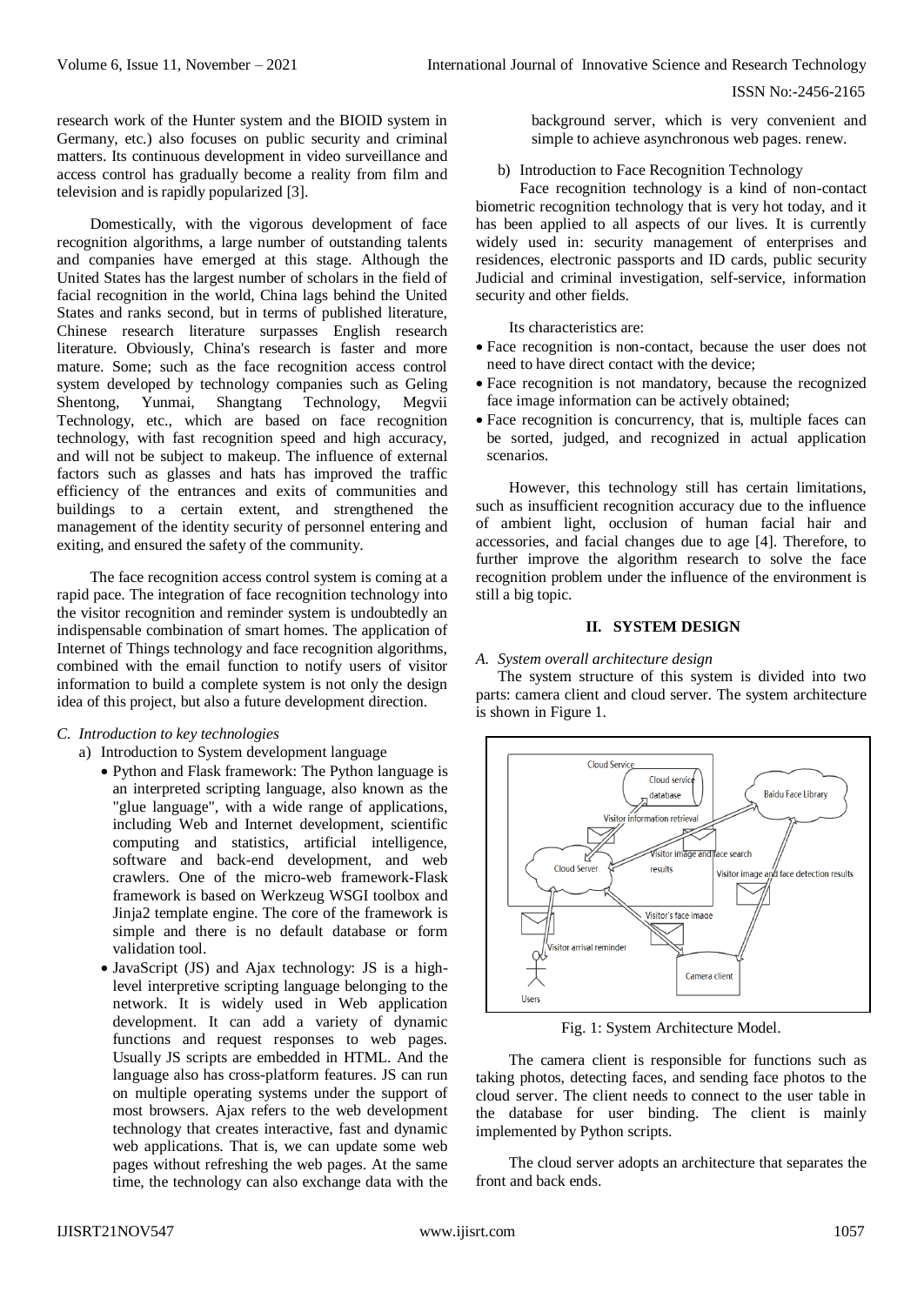ISSN No:-2456-2165

research work of the Hunter system and the BIOID system in Germany, etc.) also focuses on public security and criminal matters. Its continuous development in video surveillance and access control has gradually become a reality from film and television and is rapidly popularized [3].

Domestically, with the vigorous development of face recognition algorithms, a large number of outstanding talents and companies have emerged at this stage. Although the United States has the largest number of scholars in the field of facial recognition in the world, China lags behind the United States and ranks second, but in terms of published literature, Chinese research literature surpasses English research literature. Obviously, China's research is faster and more mature. Some; such as the face recognition access control system developed by technology companies such as Geling Shentong, Yunmai, Shangtang Technology, Megvii Technology, etc., which are based on face recognition technology, with fast recognition speed and high accuracy, and will not be subject to makeup. The influence of external factors such as glasses and hats has improved the traffic efficiency of the entrances and exits of communities and buildings to a certain extent, and strengthened the management of the identity security of personnel entering and exiting, and ensured the safety of the community.

The face recognition access control system is coming at a rapid pace. The integration of face recognition technology into the visitor recognition and reminder system is undoubtedly an indispensable combination of smart homes. The application of Internet of Things technology and face recognition algorithms, combined with the email function to notify users of visitor information to build a complete system is not only the design idea of this project, but also a future development direction.

# *C. Introduction to key technologies*

a) Introduction to System development language

- Python and Flask framework: The Python language is an interpreted scripting language, also known as the "glue language", with a wide range of applications, including Web and Internet development, scientific computing and statistics, artificial intelligence, software and back-end development, and web crawlers. One of the micro-web framework-Flask framework is based on Werkzeug WSGI toolbox and Jinja2 template engine. The core of the framework is simple and there is no default database or form validation tool.
- JavaScript (JS) and Ajax technology: JS is a highlevel interpretive scripting language belonging to the network. It is widely used in Web application development. It can add a variety of dynamic functions and request responses to web pages. Usually JS scripts are embedded in HTML. And the language also has cross-platform features. JS can run on multiple operating systems under the support of most browsers. Ajax refers to the web development technology that creates interactive, fast and dynamic web applications. That is, we can update some web pages without refreshing the web pages. At the same time, the technology can also exchange data with the

background server, which is very convenient and simple to achieve asynchronous web pages. renew.

## b) Introduction to Face Recognition Technology

Face recognition technology is a kind of non-contact biometric recognition technology that is very hot today, and it has been applied to all aspects of our lives. It is currently widely used in: security management of enterprises and residences, electronic passports and ID cards, public security Judicial and criminal investigation, self-service, information security and other fields.

Its characteristics are:

- Face recognition is non-contact, because the user does not need to have direct contact with the device;
- Face recognition is not mandatory, because the recognized face image information can be actively obtained;
- Face recognition is concurrency, that is, multiple faces can be sorted, judged, and recognized in actual application scenarios.

However, this technology still has certain limitations, such as insufficient recognition accuracy due to the influence of ambient light, occlusion of human facial hair and accessories, and facial changes due to age [4]. Therefore, to further improve the algorithm research to solve the face recognition problem under the influence of the environment is still a big topic.

## **II. SYSTEM DESIGN**

#### *A. System overall architecture design*

The system structure of this system is divided into two parts: camera client and cloud server. The system architecture is shown in Figure 1.



Fig. 1: System Architecture Model.

The camera client is responsible for functions such as taking photos, detecting faces, and sending face photos to the cloud server. The client needs to connect to the user table in the database for user binding. The client is mainly implemented by Python scripts.

The cloud server adopts an architecture that separates the front and back ends.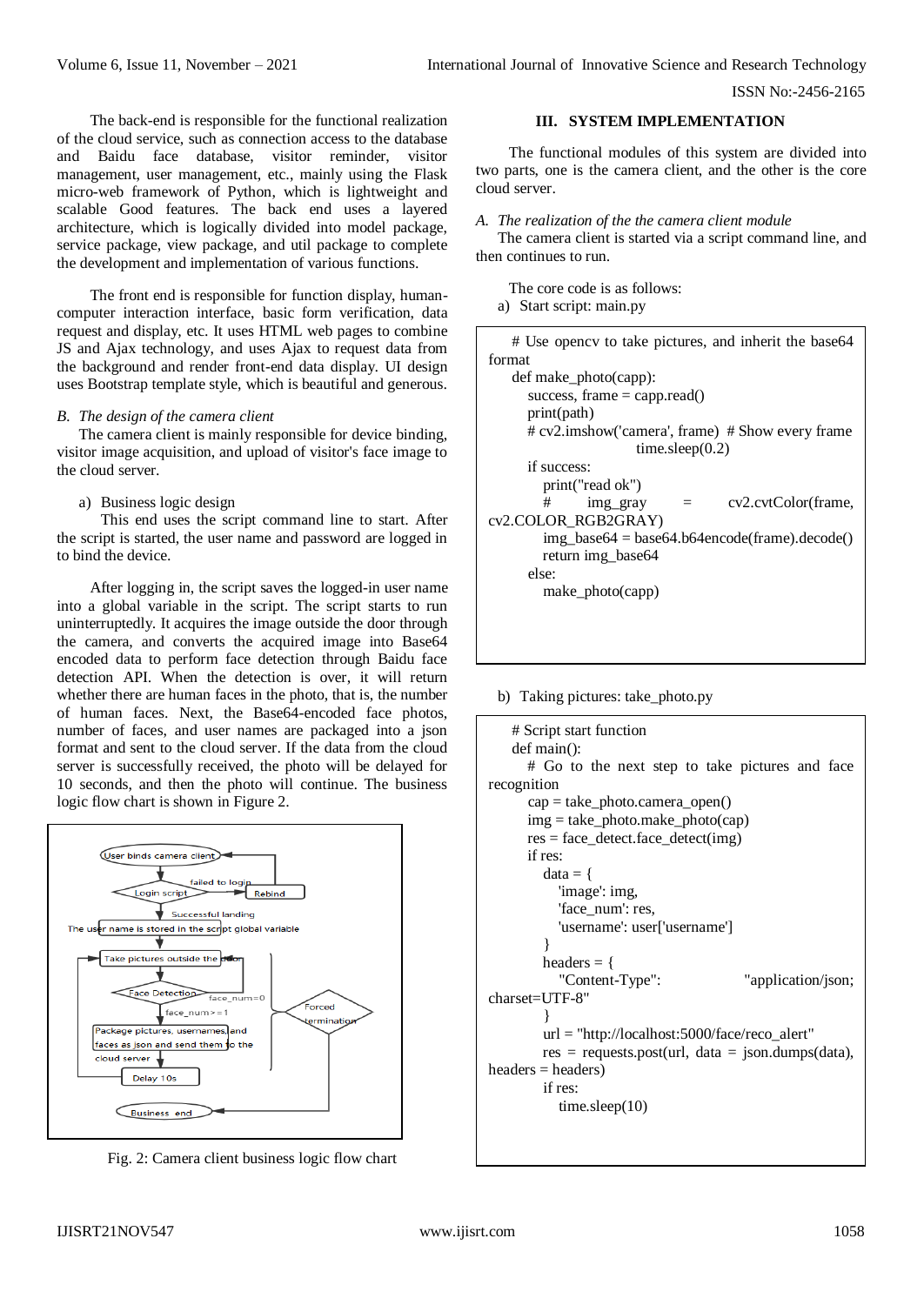The back-end is responsible for the functional realization of the cloud service, such as connection access to the database and Baidu face database, visitor reminder, visitor management, user management, etc., mainly using the Flask micro-web framework of Python, which is lightweight and scalable Good features. The back end uses a layered architecture, which is logically divided into model package, service package, view package, and util package to complete the development and implementation of various functions.

The front end is responsible for function display, humancomputer interaction interface, basic form verification, data request and display, etc. It uses HTML web pages to combine JS and Ajax technology, and uses Ajax to request data from the background and render front-end data display. UI design uses Bootstrap template style, which is beautiful and generous.

#### *B. The design of the camera client*

The camera client is mainly responsible for device binding, visitor image acquisition, and upload of visitor's face image to the cloud server.

a) Business logic design

This end uses the script command line to start. After the script is started, the user name and password are logged in to bind the device.

After logging in, the script saves the logged-in user name into a global variable in the script. The script starts to run uninterruptedly. It acquires the image outside the door through the camera, and converts the acquired image into Base64 encoded data to perform face detection through Baidu face detection API. When the detection is over, it will return whether there are human faces in the photo, that is, the number of human faces. Next, the Base64-encoded face photos, number of faces, and user names are packaged into a json format and sent to the cloud server. If the data from the cloud server is successfully received, the photo will be delayed for 10 seconds, and then the photo will continue. The business logic flow chart is shown in Figure 2.



Fig. 2: Camera client business logic flow chart

#### **III. SYSTEM IMPLEMENTATION**

The functional modules of this system are divided into two parts, one is the camera client, and the other is the core cloud server.

#### *A. The realization of the the camera client module*

The camera client is started via a script command line, and then continues to run.

The core code is as follows: a) Start script: main.py

| # Use opency to take pictures, and inherit the base 64 |
|--------------------------------------------------------|
| format                                                 |
| def make photo(capp):                                  |
| success, frame $=$ capp.read()                         |
| print(path)                                            |
| # cv2.imshow('camera', frame) # Show every frame       |
| time.sleep $(0.2)$                                     |
| if success:                                            |
| print("read ok")                                       |
| cv2.cvtColor(frame,<br>#<br>img gray<br>$\alpha = 1$   |
| cv2.COLOR RGB2GRAY)                                    |
| $img\_base64 = base64.b64encode(from).decode()$        |
| return img_base64                                      |
| else:                                                  |
| make_photo(capp)                                       |
|                                                        |
|                                                        |

b) Taking pictures: take\_photo.py

```
# Script start function
   def main():
       # Go to the next step to take pictures and face 
recognition
       cap = take_photo.camera_open()
       img = take_photo.make_photo(cap)
      res = face\_detect.face_detect(img)
       if res:
        data = \{ 'image': img,
           'face_num': res.
            'username': user['username']
         }
        headers = {
            "Content-Type": "application/json; 
charset=UTF-8"
     }
         url = "http://localhost:5000/face/reco_alert"
        res = requests.post(url, data = json.dumps(data),headers = headers) if res:
            time.sleep(10)
```